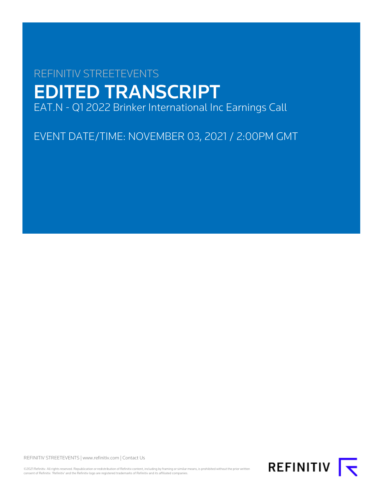# REFINITIV STREETEVENTS EDITED TRANSCRIPT EAT.N - Q1 2022 Brinker International Inc Earnings Call

EVENT DATE/TIME: NOVEMBER 03, 2021 / 2:00PM GMT

REFINITIV STREETEVENTS | [www.refinitiv.com](https://www.refinitiv.com/) | [Contact Us](https://www.refinitiv.com/en/contact-us)

©2021 Refinitiv. All rights reserved. Republication or redistribution of Refinitiv content, including by framing or similar means, is prohibited without the prior written consent of Refinitiv. 'Refinitiv' and the Refinitiv logo are registered trademarks of Refinitiv and its affiliated companies.

REFINITIV **I**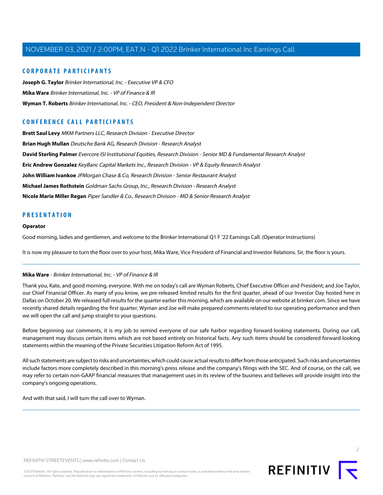## **CORPORATE PARTICIPANTS**

**[Joseph G. Taylor](#page-2-0)** Brinker International, Inc. - Executive VP & CFO **[Mika Ware](#page-1-0)** Brinker International, Inc. - VP of Finance & IR **[Wyman T. Roberts](#page-2-1)** Brinker International, Inc. - CEO, President & Non-Independent Director

## **CONFERENCE CALL PARTICIPANTS**

**[Brett Saul Levy](#page-10-0)** MKM Partners LLC, Research Division - Executive Director **[Brian Hugh Mullan](#page-9-0)** Deutsche Bank AG, Research Division - Research Analyst **[David Sterling Palmer](#page-8-0)** Evercore ISI Institutional Equities, Research Division - Senior MD & Fundamental Research Analyst **[Eric Andrew Gonzalez](#page-5-0)** KeyBanc Capital Markets Inc., Research Division - VP & Equity Research Analyst **[John William Ivankoe](#page-6-0)** JPMorgan Chase & Co, Research Division - Senior Restaurant Analyst **[Michael James Rothstein](#page-5-1)** Goldman Sachs Group, Inc., Research Division - Research Analyst **[Nicole Marie Miller Regan](#page-4-0)** Piper Sandler & Co., Research Division - MD & Senior Research Analyst

## **PRESENTATION**

#### **Operator**

Good morning, ladies and gentlemen, and welcome to the Brinker International Q1 F '22 Earnings Call. (Operator Instructions)

<span id="page-1-0"></span>It is now my pleasure to turn the floor over to your host, Mika Ware, Vice President of Financial and Investor Relations. Sir, the floor is yours.

#### **Mika Ware** - Brinker International, Inc. - VP of Finance & IR

Thank you, Kate, and good morning, everyone. With me on today's call are Wyman Roberts, Chief Executive Officer and President; and Joe Taylor, our Chief Financial Officer. As many of you know, we pre-released limited results for the first quarter, ahead of our Investor Day hosted here in Dallas on October 20. We released full results for the quarter earlier this morning, which are available on our website at brinker.com. Since we have recently shared details regarding the first quarter, Wyman and Joe will make prepared comments related to our operating performance and then we will open the call and jump straight to your questions.

Before beginning our comments, it is my job to remind everyone of our safe harbor regarding forward-looking statements. During our call, management may discuss certain items which are not based entirely on historical facts. Any such items should be considered forward-looking statements within the meaning of the Private Securities Litigation Reform Act of 1995.

All such statements are subject to risks and uncertainties, which could cause actual results to differ from those anticipated. Such risks and uncertainties include factors more completely described in this morning's press release and the company's filings with the SEC. And of course, on the call, we may refer to certain non-GAAP financial measures that management uses in its review of the business and believes will provide insight into the company's ongoing operations.

And with that said, I will turn the call over to Wyman.

 $\supset$ 

REFINITIV STREETEVENTS | [www.refinitiv.com](https://www.refinitiv.com/) | [Contact Us](https://www.refinitiv.com/en/contact-us)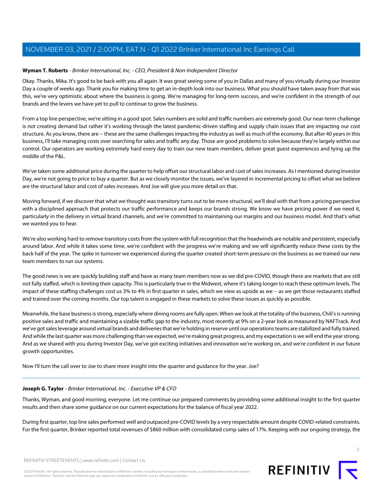## <span id="page-2-1"></span>**Wyman T. Roberts** - Brinker International, Inc. - CEO, President & Non-Independent Director

Okay. Thanks, Mika. It's good to be back with you all again. It was great seeing some of you in Dallas and many of you virtually during our Investor Day a couple of weeks ago. Thank you for making time to get an in-depth look into our business. What you should have taken away from that was this, we're very optimistic about where the business is going. We're managing for long-term success, and we're confident in the strength of our brands and the levers we have yet to pull to continue to grow the business.

From a top line perspective, we're sitting in a good spot. Sales numbers are solid and traffic numbers are extremely good. Our near-term challenge is not creating demand but rather it's working through the latest pandemic-driven staffing and supply chain issues that are impacting our cost structure. As you know, there are -- these are the same challenges impacting the industry as well as much of the economy. But after 40 years in this business, I'll take managing costs over searching for sales and traffic any day. Those are good problems to solve because they're largely within our control. Our operators are working extremely hard every day to train our new team members, deliver great guest experiences and tying up the middle of the P&L.

We've taken some additional price during the quarter to help offset our structural labor and cost of sales increases. As I mentioned during Investor Day, we're not going to price to buy a quarter. But as we closely monitor the issues, we've layered in incremental pricing to offset what we believe are the structural labor and cost of sales increases. And Joe will give you more detail on that.

Moving forward, if we discover that what we thought was transitory turns out to be more structural, we'll deal with that from a pricing perspective with a disciplined approach that protects our traffic performance and keeps our brands strong. We know we have pricing power if we need it, particularly in the delivery in virtual brand channels, and we're committed to maintaining our margins and our business model. And that's what we wanted you to hear.

We're also working hard to remove transitory costs from the system with full recognition that the headwinds are notable and persistent, especially around labor. And while it takes some time, we're confident with the progress we're making and we will significantly reduce these costs by the back half of the year. The spike in turnover we experienced during the quarter created short-term pressure on the business as we trained our new team members to run our systems.

The good news is we are quickly building staff and have as many team members now as we did pre-COVID, though there are markets that are still not fully staffed, which is limiting their capacity. This is particularly true in the Midwest, where it's taking longer to reach these optimum levels. The impact of these staffing challenges cost us 3% to 4% in first quarter in sales, which we view as upside as we -- as we get those restaurants staffed and trained over the coming months. Our top talent is engaged in these markets to solve these issues as quickly as possible.

Meanwhile, the base business is strong, especially where dining rooms are fully open. When we look at the totality of the business, Chili's is running positive sales and traffic and maintaining a sizable traffic gap to the industry, most recently at 9% on a 2-year look as measured by NAFTrack. And we've got sales leverage around virtual brands and deliveries that we're holding in reserve until our operations teams are stabilized and fully trained. And while the last quarter was more challenging than we expected, we're making great progress, and my expectation is we will end the year strong. And as we shared with you during Investor Day, we've got exciting initiatives and innovation we're working on, and we're confident in our future growth opportunities.

<span id="page-2-0"></span>Now I'll turn the call over to Joe to share more insight into the quarter and guidance for the year. Joe?

## **Joseph G. Taylor** - Brinker International, Inc. - Executive VP & CFO

Thanks, Wyman, and good morning, everyone. Let me continue our prepared comments by providing some additional insight to the first quarter results and then share some guidance on our current expectations for the balance of fiscal year 2022.

During first quarter, top line sales performed well and outpaced pre-COVID levels by a very respectable amount despite COVID-related constraints. For the first quarter, Brinker reported total revenues of \$860 million with consolidated comp sales of 17%. Keeping with our ongoing strategy, the

REFINITIV STREETEVENTS | [www.refinitiv.com](https://www.refinitiv.com/) | [Contact Us](https://www.refinitiv.com/en/contact-us)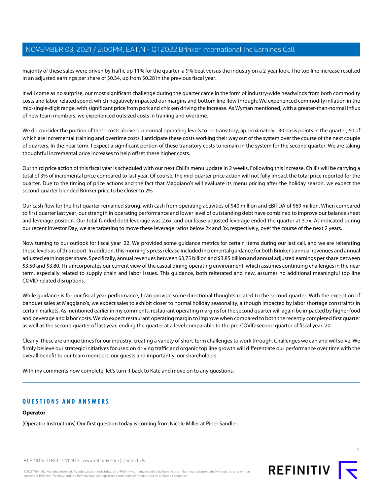majority of these sales were driven by traffic up 11% for the quarter, a 9% beat versus the industry on a 2-year look. The top line increase resulted in an adjusted earnings per share of \$0.34, up from \$0.28 in the previous fiscal year.

It will come as no surprise, our most significant challenge during the quarter came in the form of industry-wide headwinds from both commodity costs and labor-related spend, which negatively impacted our margins and bottom line flow through. We experienced commodity inflation in the mid-single-digit range, with significant price from pork and chicken driving the increase. As Wyman mentioned, with a greater-than-normal influx of new team members, we experienced outsized costs in training and overtime.

We do consider the portion of these costs above our normal operating levels to be transitory, approximately 130 basis points in the quarter, 60 of which are incremental training and overtime costs. I anticipate these costs working their way out of the system over the course of the next couple of quarters. In the near term, I expect a significant portion of these transitory costs to remain in the system for the second quarter. We are taking thoughtful incremental price increases to help offset these higher costs.

Our third price action of this fiscal year is scheduled with our next Chili's menu update in 2 weeks. Following this increase, Chili's will be carrying a total of 3% of incremental price compared to last year. Of course, the mid-quarter price action will not fully impact the total price reported for the quarter. Due to the timing of price actions and the fact that Maggiano's will evaluate its menu pricing after the holiday season, we expect the second quarter blended Brinker price to be closer to 2%.

Our cash flow for the first quarter remained strong, with cash from operating activities of \$40 million and EBITDA of \$69 million. When compared to first quarter last year, our strength in operating performance and lower level of outstanding debt have combined to improve our balance sheet and leverage position. Our total funded debt leverage was 2.6x, and our lease-adjusted leverage ended the quarter at 3.7x. As indicated during our recent Investor Day, we are targeting to move these leverage ratios below 2x and 3x, respectively, over the course of the next 2 years.

Now turning to our outlook for fiscal year '22. We provided some guidance metrics for certain items during our last call, and we are reiterating those levels as of this report. In addition, this morning's press release included incremental guidance for both Brinker's annual revenues and annual adjusted earnings per share. Specifically, annual revenues between \$3.75 billion and \$3.85 billion and annual adjusted earnings per share between \$3.50 and \$3.80. This incorporates our current view of the casual dining operating environment, which assumes continuing challenges in the near term, especially related to supply chain and labor issues. This guidance, both reiterated and new, assumes no additional meaningful top line COVID-related disruptions.

While guidance is for our fiscal year performance, I can provide some directional thoughts related to the second quarter. With the exception of banquet sales at Maggiano's, we expect sales to exhibit closer to normal holiday seasonality, although impacted by labor shortage constraints in certain markets. As mentioned earlier in my comments, restaurant operating margins for the second quarter will again be impacted by higher food and beverage and labor costs. We do expect restaurant operating margin to improve when compared to both the recently completed first quarter as well as the second quarter of last year, ending the quarter at a level comparable to the pre-COVID second quarter of fiscal year '20.

Clearly, these are unique times for our industry, creating a variety of short-term challenges to work through. Challenges we can and will solve. We firmly believe our strategic initiatives focused on driving traffic and organic top line growth will differentiate our performance over time with the overall benefit to our team members, our guests and importantly, our shareholders.

With my comments now complete, let's turn it back to Kate and move on to any questions.

## **QUESTIONS AND ANSWERS**

## **Operator**

(Operator Instructions) Our first question today is coming from Nicole Miller at Piper Sandler.

REFINITIV STREETEVENTS | [www.refinitiv.com](https://www.refinitiv.com/) | [Contact Us](https://www.refinitiv.com/en/contact-us)

©2021 Refinitiv. All rights reserved. Republication or redistribution of Refinitiv content, including by framing or similar means, is prohibited without the prior written consent of Refinitiv. 'Refinitiv' and the Refinitiv logo are registered trademarks of Refinitiv and its affiliated companies.



4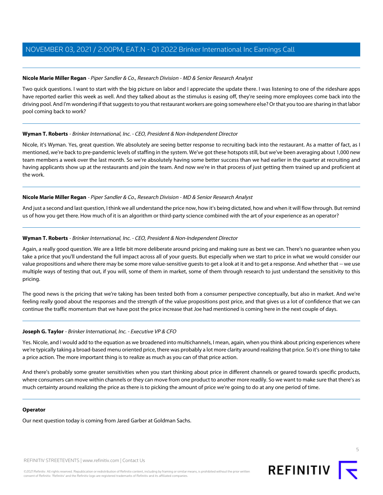## <span id="page-4-0"></span>**Nicole Marie Miller Regan** - Piper Sandler & Co., Research Division - MD & Senior Research Analyst

Two quick questions. I want to start with the big picture on labor and I appreciate the update there. I was listening to one of the rideshare apps have reported earlier this week as well. And they talked about as the stimulus is easing off, they're seeing more employees come back into the driving pool. And I'm wondering if that suggests to you that restaurant workers are going somewhere else? Or that you too are sharing in that labor pool coming back to work?

## **Wyman T. Roberts** - Brinker International, Inc. - CEO, President & Non-Independent Director

Nicole, it's Wyman. Yes, great question. We absolutely are seeing better response to recruiting back into the restaurant. As a matter of fact, as I mentioned, we're back to pre-pandemic levels of staffing in the system. We've got these hotspots still, but we've been averaging about 1,000 new team members a week over the last month. So we're absolutely having some better success than we had earlier in the quarter at recruiting and having applicants show up at the restaurants and join the team. And now we're in that process of just getting them trained up and proficient at the work.

## **Nicole Marie Miller Regan** - Piper Sandler & Co., Research Division - MD & Senior Research Analyst

And just a second and last question, I think we all understand the price now, how it's being dictated, how and when it will flow through. But remind us of how you get there. How much of it is an algorithm or third-party science combined with the art of your experience as an operator?

## **Wyman T. Roberts** - Brinker International, Inc. - CEO, President & Non-Independent Director

Again, a really good question. We are a little bit more deliberate around pricing and making sure as best we can. There's no guarantee when you take a price that you'll understand the full impact across all of your guests. But especially when we start to price in what we would consider our value propositions and where there may be some more value-sensitive guests to get a look at it and to get a response. And whether that -- we use multiple ways of testing that out, if you will, some of them in market, some of them through research to just understand the sensitivity to this pricing.

The good news is the pricing that we're taking has been tested both from a consumer perspective conceptually, but also in market. And we're feeling really good about the responses and the strength of the value propositions post price, and that gives us a lot of confidence that we can continue the traffic momentum that we have post the price increase that Joe had mentioned is coming here in the next couple of days.

## **Joseph G. Taylor** - Brinker International, Inc. - Executive VP & CFO

Yes. Nicole, and I would add to the equation as we broadened into multichannels, I mean, again, when you think about pricing experiences where we're typically taking a broad-based menu oriented price, there was probably a lot more clarity around realizing that price. So it's one thing to take a price action. The more important thing is to realize as much as you can of that price action.

And there's probably some greater sensitivities when you start thinking about price in different channels or geared towards specific products, where consumers can move within channels or they can move from one product to another more readily. So we want to make sure that there's as much certainty around realizing the price as there is to picking the amount of price we're going to do at any one period of time.

## **Operator**

Our next question today is coming from Jared Garber at Goldman Sachs.

REFINITIV STREETEVENTS | [www.refinitiv.com](https://www.refinitiv.com/) | [Contact Us](https://www.refinitiv.com/en/contact-us)



5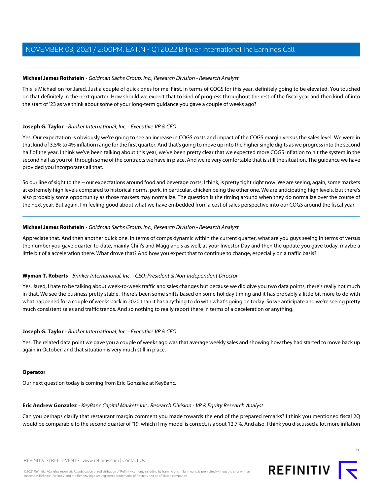## <span id="page-5-1"></span>**Michael James Rothstein** - Goldman Sachs Group, Inc., Research Division - Research Analyst

This is Michael on for Jared. Just a couple of quick ones for me. First, in terms of COGS for this year, definitely going to be elevated. You touched on that definitely in the next quarter. How should we expect that to kind of progress throughout the rest of the fiscal year and then kind of into the start of '23 as we think about some of your long-term guidance you gave a couple of weeks ago?

## **Joseph G. Taylor** - Brinker International, Inc. - Executive VP & CFO

Yes. Our expectation is obviously we're going to see an increase in COGS costs and impact of the COGS margin versus the sales level. We were in that kind of 3.5% to 4% inflation range for the first quarter. And that's going to move up into the higher single digits as we progress into the second half of the year. I think we've been talking about this year, we've been pretty clear that we expected more COGS inflation to hit the system in the second half as you roll through some of the contracts we have in place. And we're very comfortable that is still the situation. The guidance we have provided you incorporates all that.

So our line of sight to the -- our expectations around food and beverage costs, I think, is pretty tight right now. We are seeing, again, some markets at extremely high levels compared to historical norms, pork, in particular, chicken being the other one. We are anticipating high levels, but there's also probably some opportunity as those markets may normalize. The question is the timing around when they do normalize over the course of the next year. But again, I'm feeling good about what we have embedded from a cost of sales perspective into our COGS around the fiscal year.

## **Michael James Rothstein** - Goldman Sachs Group, Inc., Research Division - Research Analyst

Appreciate that. And then another quick one. In terms of comps dynamic within the current quarter, what are you guys seeing in terms of versus the number you gave quarter-to-date, mainly Chili's and Maggiano's as well, at your Investor Day and then the update you gave today, maybe a little bit of a acceleration there. What drove that? And how you expect that to continue to change, especially on a traffic basis?

## **Wyman T. Roberts** - Brinker International, Inc. - CEO, President & Non-Independent Director

Yes, Jared, I hate to be talking about week-to-week traffic and sales changes but because we did give you two data points, there's really not much in that. We see the business pretty stable. There's been some shifts based on some holiday timing and it has probably a little bit more to do with what happened for a couple of weeks back in 2020 than it has anything to do with what's going on today. So we anticipate and we're seeing pretty much consistent sales and traffic trends. And so nothing to really report there in terms of a deceleration or anything.

## **Joseph G. Taylor** - Brinker International, Inc. - Executive VP & CFO

Yes. The related data point we gave you a couple of weeks ago was that average weekly sales and showing how they had started to move back up again in October, and that situation is very much still in place.

## <span id="page-5-0"></span>**Operator**

Our next question today is coming from Eric Gonzalez at KeyBanc.

## **Eric Andrew Gonzalez** - KeyBanc Capital Markets Inc., Research Division - VP & Equity Research Analyst

Can you perhaps clarify that restaurant margin comment you made towards the end of the prepared remarks? I think you mentioned fiscal 2Q would be comparable to the second quarter of '19, which if my model is correct, is about 12.7%. And also, I think you discussed a lot more inflation

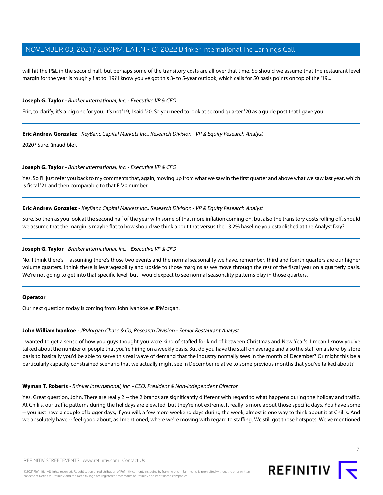will hit the P&L in the second half, but perhaps some of the transitory costs are all over that time. So should we assume that the restaurant level margin for the year is roughly flat to '19? I know you've got this 3- to 5-year outlook, which calls for 50 basis points on top of the '19...

#### **Joseph G. Taylor** - Brinker International, Inc. - Executive VP & CFO

Eric, to clarify, it's a big one for you. It's not '19, I said '20. So you need to look at second quarter '20 as a guide post that I gave you.

#### **Eric Andrew Gonzalez** - KeyBanc Capital Markets Inc., Research Division - VP & Equity Research Analyst

2020? Sure. (inaudible).

#### **Joseph G. Taylor** - Brinker International, Inc. - Executive VP & CFO

Yes. So I'll just refer you back to my comments that, again, moving up from what we saw in the first quarter and above what we saw last year, which is fiscal '21 and then comparable to that F '20 number.

#### **Eric Andrew Gonzalez** - KeyBanc Capital Markets Inc., Research Division - VP & Equity Research Analyst

Sure. So then as you look at the second half of the year with some of that more inflation coming on, but also the transitory costs rolling off, should we assume that the margin is maybe flat to how should we think about that versus the 13.2% baseline you established at the Analyst Day?

#### **Joseph G. Taylor** - Brinker International, Inc. - Executive VP & CFO

No. I think there's -- assuming there's those two events and the normal seasonality we have, remember, third and fourth quarters are our higher volume quarters. I think there is leverageability and upside to those margins as we move through the rest of the fiscal year on a quarterly basis. We're not going to get into that specific level, but I would expect to see normal seasonality patterns play in those quarters.

#### <span id="page-6-0"></span>**Operator**

Our next question today is coming from John Ivankoe at JPMorgan.

#### **John William Ivankoe** - JPMorgan Chase & Co, Research Division - Senior Restaurant Analyst

I wanted to get a sense of how you guys thought you were kind of staffed for kind of between Christmas and New Year's. I mean I know you've talked about the number of people that you're hiring on a weekly basis. But do you have the staff on average and also the staff on a store-by-store basis to basically you'd be able to serve this real wave of demand that the industry normally sees in the month of December? Or might this be a particularly capacity constrained scenario that we actually might see in December relative to some previous months that you've talked about?

#### **Wyman T. Roberts** - Brinker International, Inc. - CEO, President & Non-Independent Director

Yes. Great question, John. There are really 2 -- the 2 brands are significantly different with regard to what happens during the holiday and traffic. At Chili's, our traffic patterns during the holidays are elevated, but they're not extreme. It really is more about those specific days. You have some -- you just have a couple of bigger days, if you will, a few more weekend days during the week, almost is one way to think about it at Chili's. And we absolutely have -- feel good about, as I mentioned, where we're moving with regard to staffing. We still got those hotspots. We've mentioned

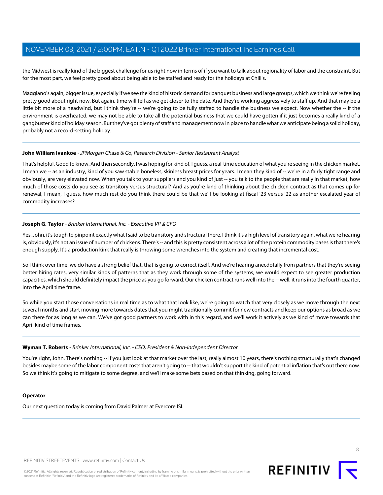the Midwest is really kind of the biggest challenge for us right now in terms of if you want to talk about regionality of labor and the constraint. But for the most part, we feel pretty good about being able to be staffed and ready for the holidays at Chili's.

Maggiano's again, bigger issue, especially if we see the kind of historic demand for banquet business and large groups, which we think we're feeling pretty good about right now. But again, time will tell as we get closer to the date. And they're working aggressively to staff up. And that may be a little bit more of a headwind, but I think they're -- we're going to be fully staffed to handle the business we expect. Now whether the -- if the environment is overheated, we may not be able to take all the potential business that we could have gotten if it just becomes a really kind of a gangbuster kind of holiday season. But they've got plenty of staff and management now in place to handle what we anticipate being a solid holiday, probably not a record-setting holiday.

## **John William Ivankoe** - JPMorgan Chase & Co, Research Division - Senior Restaurant Analyst

That's helpful. Good to know. And then secondly, I was hoping for kind of, I guess, a real-time education of what you're seeing in the chicken market. I mean we -- as an industry, kind of you saw stable boneless, skinless breast prices for years. I mean they kind of -- we're in a fairly tight range and obviously, are very elevated now. When you talk to your suppliers and you kind of just -- you talk to the people that are really in that market, how much of those costs do you see as transitory versus structural? And as you're kind of thinking about the chicken contract as that comes up for renewal, I mean, I guess, how much rest do you think there could be that we'll be looking at fiscal '23 versus '22 as another escalated year of commodity increases?

## **Joseph G. Taylor** - Brinker International, Inc. - Executive VP & CFO

Yes, John, it's tough to pinpoint exactly what I said to be transitory and structural there. I think it's a high level of transitory again, what we're hearing is, obviously, it's not an issue of number of chickens. There's -- and this is pretty consistent across a lot of the protein commodity bases is that there's enough supply. It's a production kink that really is throwing some wrenches into the system and creating that incremental cost.

So I think over time, we do have a strong belief that, that is going to correct itself. And we're hearing anecdotally from partners that they're seeing better hiring rates, very similar kinds of patterns that as they work through some of the systems, we would expect to see greater production capacities, which should definitely impact the price as you go forward. Our chicken contract runs well into the -- well, it runs into the fourth quarter, into the April time frame.

So while you start those conversations in real time as to what that look like, we're going to watch that very closely as we move through the next several months and start moving more towards dates that you might traditionally commit for new contracts and keep our options as broad as we can there for as long as we can. We've got good partners to work with in this regard, and we'll work it actively as we kind of move towards that April kind of time frames.

## **Wyman T. Roberts** - Brinker International, Inc. - CEO, President & Non-Independent Director

You're right, John. There's nothing -- if you just look at that market over the last, really almost 10 years, there's nothing structurally that's changed besides maybe some of the labor component costs that aren't going to -- that wouldn't support the kind of potential inflation that's out there now. So we think it's going to mitigate to some degree, and we'll make some bets based on that thinking, going forward.

## **Operator**

Our next question today is coming from David Palmer at Evercore ISI.



8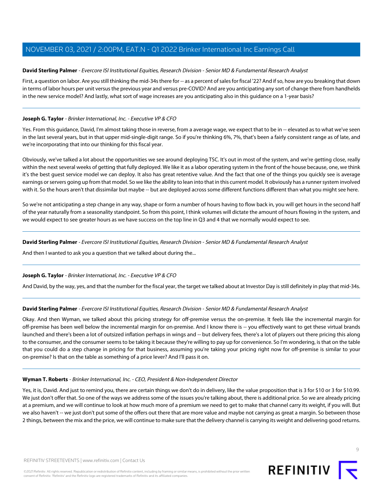## <span id="page-8-0"></span>**David Sterling Palmer** - Evercore ISI Institutional Equities, Research Division - Senior MD & Fundamental Research Analyst

First, a question on labor. Are you still thinking the mid-34s there for -- as a percent of sales for fiscal '22? And if so, how are you breaking that down in terms of labor hours per unit versus the previous year and versus pre-COVID? And are you anticipating any sort of change there from handhelds in the new service model? And lastly, what sort of wage increases are you anticipating also in this guidance on a 1-year basis?

## **Joseph G. Taylor** - Brinker International, Inc. - Executive VP & CFO

Yes. From this guidance, David, I'm almost taking those in reverse, from a average wage, we expect that to be in -- elevated as to what we've seen in the last several years, but in that upper mid-single-digit range. So if you're thinking 6%, 7%, that's been a fairly consistent range as of late, and we're incorporating that into our thinking for this fiscal year.

Obviously, we've talked a lot about the opportunities we see around deploying TSC. It's out in most of the system, and we're getting close, really within the next several weeks of getting that fully deployed. We like it as a labor operating system in the front of the house because, one, we think it's the best guest service model we can deploy. It also has great retentive value. And the fact that one of the things you quickly see is average earnings or servers going up from that model. So we like the ability to lean into that in this current model. It obviously has a runner system involved with it. So the hours aren't that dissimilar but maybe -- but are deployed across some different functions different than what you might see here.

So we're not anticipating a step change in any way, shape or form a number of hours having to flow back in, you will get hours in the second half of the year naturally from a seasonality standpoint. So from this point, I think volumes will dictate the amount of hours flowing in the system, and we would expect to see greater hours as we have success on the top line in Q3 and 4 that we normally would expect to see.

#### **David Sterling Palmer** - Evercore ISI Institutional Equities, Research Division - Senior MD & Fundamental Research Analyst

And then I wanted to ask you a question that we talked about during the...

## **Joseph G. Taylor** - Brinker International, Inc. - Executive VP & CFO

And David, by the way, yes, and that the number for the fiscal year, the target we talked about at Investor Day is still definitely in play that mid-34s.

## **David Sterling Palmer** - Evercore ISI Institutional Equities, Research Division - Senior MD & Fundamental Research Analyst

Okay. And then Wyman, we talked about this pricing strategy for off-premise versus the on-premise. It feels like the incremental margin for off-premise has been well below the incremental margin for on-premise. And I know there is -- you effectively want to get these virtual brands launched and there's been a lot of outsized inflation perhaps in wings and -- but delivery fees, there's a lot of players out there pricing this along to the consumer, and the consumer seems to be taking it because they're willing to pay up for convenience. So I'm wondering, is that on the table that you could do a step change in pricing for that business, assuming you're taking your pricing right now for off-premise is similar to your on-premise? Is that on the table as something of a price lever? And I'll pass it on.

## **Wyman T. Roberts** - Brinker International, Inc. - CEO, President & Non-Independent Director

Yes, it is, David. And just to remind you, there are certain things we don't do in delivery, like the value proposition that is 3 for \$10 or 3 for \$10.99. We just don't offer that. So one of the ways we address some of the issues you're talking about, there is additional price. So we are already pricing at a premium, and we will continue to look at how much more of a premium we need to get to make that channel carry its weight, if you will. But we also haven't -- we just don't put some of the offers out there that are more value and maybe not carrying as great a margin. So between those 2 things, between the mix and the price, we will continue to make sure that the delivery channel is carrying its weight and delivering good returns.

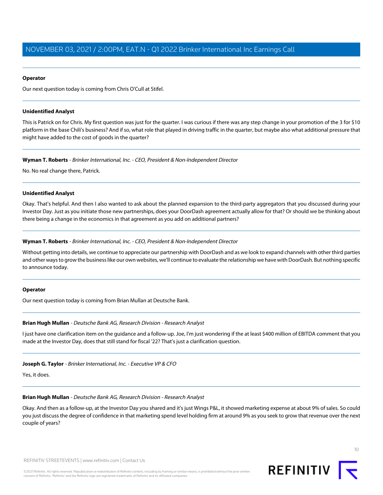#### **Operator**

Our next question today is coming from Chris O'Cull at Stifel.

#### **Unidentified Analyst**

This is Patrick on for Chris. My first question was just for the quarter. I was curious if there was any step change in your promotion of the 3 for \$10 platform in the base Chili's business? And if so, what role that played in driving traffic in the quarter, but maybe also what additional pressure that might have added to the cost of goods in the quarter?

**Wyman T. Roberts** - Brinker International, Inc. - CEO, President & Non-Independent Director

No. No real change there, Patrick.

#### **Unidentified Analyst**

Okay. That's helpful. And then I also wanted to ask about the planned expansion to the third-party aggregators that you discussed during your Investor Day. Just as you initiate those new partnerships, does your DoorDash agreement actually allow for that? Or should we be thinking about there being a change in the economics in that agreement as you add on additional partners?

#### **Wyman T. Roberts** - Brinker International, Inc. - CEO, President & Non-Independent Director

Without getting into details, we continue to appreciate our partnership with DoorDash and as we look to expand channels with other third parties and other ways to grow the business like our own websites, we'll continue to evaluate the relationship we have with DoorDash. But nothing specific to announce today.

#### <span id="page-9-0"></span>**Operator**

Our next question today is coming from Brian Mullan at Deutsche Bank.

## **Brian Hugh Mullan** - Deutsche Bank AG, Research Division - Research Analyst

I just have one clarification item on the guidance and a follow-up. Joe, I'm just wondering if the at least \$400 million of EBITDA comment that you made at the Investor Day, does that still stand for fiscal '22? That's just a clarification question.

#### **Joseph G. Taylor** - Brinker International, Inc. - Executive VP & CFO

Yes, it does.

## **Brian Hugh Mullan** - Deutsche Bank AG, Research Division - Research Analyst

Okay. And then as a follow-up, at the Investor Day you shared and it's just Wings P&L, it showed marketing expense at about 9% of sales. So could you just discuss the degree of confidence in that marketing spend level holding firm at around 9% as you seek to grow that revenue over the next couple of years?

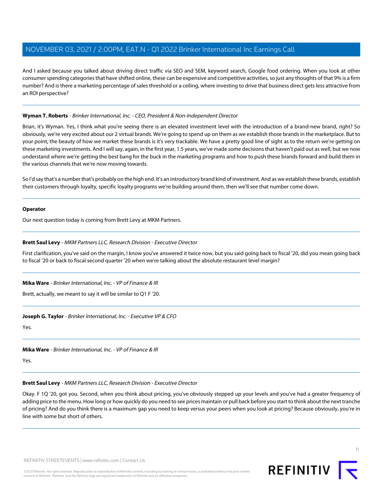And I asked because you talked about driving direct traffic via SEO and SEM, keyword search, Google food ordering. When you look at other consumer spending categories that have shifted online, these can be expensive and competitive activities, so just any thoughts of that 9% is a firm number? And is there a marketing percentage of sales threshold or a ceiling, where investing to drive that business direct gets less attractive from an ROI perspective?

## **Wyman T. Roberts** - Brinker International, Inc. - CEO, President & Non-Independent Director

Brian, it's Wyman. Yes, I think what you're seeing there is an elevated investment level with the introduction of a brand-new brand, right? So obviously, we're very excited about our 2 virtual brands. We're going to spend up on them as we establish those brands in the marketplace. But to your point, the beauty of how we market these brands is it's very trackable. We have a pretty good line of sight as to the return we're getting on these marketing investments. And I will say, again, in the first year, 1.5 years, we've made some decisions that haven't paid out as well, but we now understand where we're getting the best bang for the buck in the marketing programs and how to push these brands forward and build them in the various channels that we're now moving towards.

So I'd say that's a number that's probably on the high end. It's an introductory brand kind of investment. And as we establish these brands, establish their customers through loyalty, specific loyalty programs we're building around them, then we'll see that number come down.

#### **Operator**

<span id="page-10-0"></span>Our next question today is coming from Brett Levy at MKM Partners.

## **Brett Saul Levy** - MKM Partners LLC, Research Division - Executive Director

First clarification, you've said on the margin, I know you've answered it twice now, but you said going back to fiscal '20, did you mean going back to fiscal '20 or back to fiscal second quarter '20 when we're talking about the absolute restaurant level margin?

**Mika Ware** - Brinker International, Inc. - VP of Finance & IR

Brett, actually, we meant to say it will be similar to Q1 F '20.

## **Joseph G. Taylor** - Brinker International, Inc. - Executive VP & CFO

Yes.

**Mika Ware** - Brinker International, Inc. - VP of Finance & IR

Yes.

#### **Brett Saul Levy** - MKM Partners LLC, Research Division - Executive Director

Okay. F 1Q '20, got you. Second, when you think about pricing, you've obviously stepped up your levels and you've had a greater frequency of adding price to the menu. How long or how quickly do you need to see prices maintain or pull back before you start to think about the next tranche of pricing? And do you think there is a maximum gap you need to keep versus your peers when you look at pricing? Because obviously, you're in line with some but short of others.

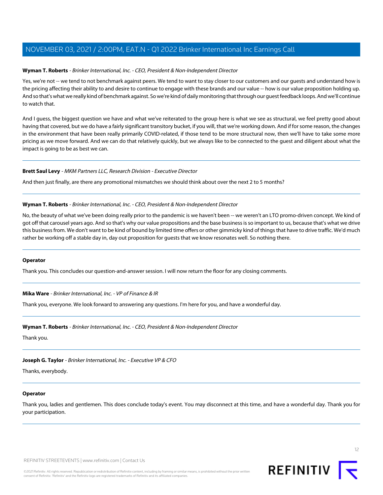## **Wyman T. Roberts** - Brinker International, Inc. - CEO, President & Non-Independent Director

Yes, we're not -- we tend to not benchmark against peers. We tend to want to stay closer to our customers and our guests and understand how is the pricing affecting their ability to and desire to continue to engage with these brands and our value -- how is our value proposition holding up. And so that's what we really kind of benchmark against. So we're kind of daily monitoring that through our guest feedback loops. And we'll continue to watch that.

And I guess, the biggest question we have and what we've reiterated to the group here is what we see as structural, we feel pretty good about having that covered, but we do have a fairly significant transitory bucket, if you will, that we're working down. And if for some reason, the changes in the environment that have been really primarily COVID-related, if those tend to be more structural now, then we'll have to take some more pricing as we move forward. And we can do that relatively quickly, but we always like to be connected to the guest and diligent about what the impact is going to be as best we can.

#### **Brett Saul Levy** - MKM Partners LLC, Research Division - Executive Director

And then just finally, are there any promotional mismatches we should think about over the next 2 to 5 months?

#### **Wyman T. Roberts** - Brinker International, Inc. - CEO, President & Non-Independent Director

No, the beauty of what we've been doing really prior to the pandemic is we haven't been -- we weren't an LTO promo-driven concept. We kind of got off that carousel years ago. And so that's why our value propositions and the base business is so important to us, because that's what we drive this business from. We don't want to be kind of bound by limited time offers or other gimmicky kind of things that have to drive traffic. We'd much rather be working off a stable day in, day out proposition for guests that we know resonates well. So nothing there.

#### **Operator**

Thank you. This concludes our question-and-answer session. I will now return the floor for any closing comments.

**Mika Ware** - Brinker International, Inc. - VP of Finance & IR

Thank you, everyone. We look forward to answering any questions. I'm here for you, and have a wonderful day.

**Wyman T. Roberts** - Brinker International, Inc. - CEO, President & Non-Independent Director

Thank you.

**Joseph G. Taylor** - Brinker International, Inc. - Executive VP & CFO

Thanks, everybody.

## **Operator**

Thank you, ladies and gentlemen. This does conclude today's event. You may disconnect at this time, and have a wonderful day. Thank you for your participation.